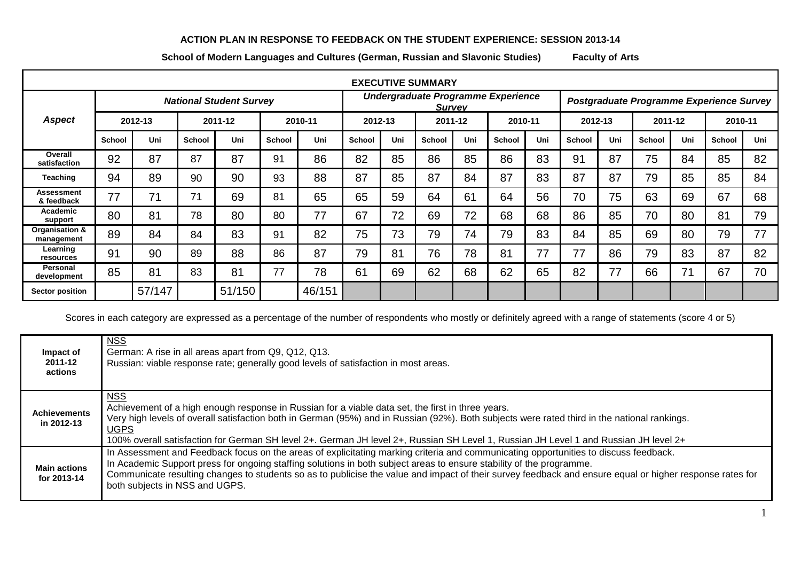## **ACTION PLAN IN RESPONSE TO FEEDBACK ON THE STUDENT EXPERIENCE: SESSION 2013-14**

**School of Modern Languages and Cultures (German, Russian and Slavonic Studies) Faculty of Arts**

| <b>EXECUTIVE SUMMARY</b>     |                                |        |               |        |               |                                                     |               |     |         |     |                                          |     |         |     |         |     |         |     |
|------------------------------|--------------------------------|--------|---------------|--------|---------------|-----------------------------------------------------|---------------|-----|---------|-----|------------------------------------------|-----|---------|-----|---------|-----|---------|-----|
|                              | <b>National Student Survey</b> |        |               |        |               | Undergraduate Programme Experience<br><b>Survey</b> |               |     |         |     | Postgraduate Programme Experience Survey |     |         |     |         |     |         |     |
| <b>Aspect</b>                | 2012-13                        |        | 2011-12       |        | 2010-11       |                                                     | 2012-13       |     | 2011-12 |     | 2010-11                                  |     | 2012-13 |     | 2011-12 |     | 2010-11 |     |
|                              | School                         | Uni    | <b>School</b> | Uni    | <b>School</b> | Uni                                                 | <b>School</b> | Uni | School  | Uni | School                                   | Uni | School  | Uni | School  | Uni | School  | Uni |
| Overall<br>satisfaction      | 92                             | 87     | 87            | 87     | 91            | 86                                                  | 82            | 85  | 86      | 85  | 86                                       | 83  | 91      | 87  | 75      | 84  | 85      | 82  |
| <b>Teaching</b>              | 94                             | 89     | 90            | 90     | 93            | 88                                                  | 87            | 85  | 87      | 84  | 87                                       | 83  | 87      | 87  | 79      | 85  | 85      | 84  |
| Assessment<br>& feedback     | 77                             | 71     | 71            | 69     | 81            | 65                                                  | 65            | 59  | 64      | 61  | 64                                       | 56  | 70      | 75  | 63      | 69  | 67      | 68  |
| Academic<br>support          | 80                             | 81     | 78            | 80     | 80            | 77                                                  | 67            | 72  | 69      | 72  | 68                                       | 68  | 86      | 85  | 70      | 80  | 81      | 79  |
| Organisation &<br>management | 89                             | 84     | 84            | 83     | 91            | 82                                                  | 75            | 73  | 79      | 74  | 79                                       | 83  | 84      | 85  | 69      | 80  | 79      | 77  |
| Learning<br>resources        | 91                             | 90     | 89            | 88     | 86            | 87                                                  | 79            | 81  | 76      | 78  | 81                                       | 77  | 77      | 86  | 79      | 83  | 87      | 82  |
| Personal<br>development      | 85                             | 81     | 83            | 81     | 77            | 78                                                  | 61            | 69  | 62      | 68  | 62                                       | 65  | 82      | 77  | 66      | 71  | 67      | 70  |
| <b>Sector position</b>       |                                | 57/147 |               | 51/150 |               | 46/151                                              |               |     |         |     |                                          |     |         |     |         |     |         |     |

Scores in each category are expressed as a percentage of the number of respondents who mostly or definitely agreed with a range of statements (score 4 or 5)

| Impact of<br>2011-12<br>actions    | <b>NSS</b><br>German: A rise in all areas apart from Q9, Q12, Q13.<br>Russian: viable response rate; generally good levels of satisfaction in most areas.                                                                                                                                                                                                                                                                                                  |
|------------------------------------|------------------------------------------------------------------------------------------------------------------------------------------------------------------------------------------------------------------------------------------------------------------------------------------------------------------------------------------------------------------------------------------------------------------------------------------------------------|
| <b>Achievements</b><br>in 2012-13  | <b>NSS</b><br>Achievement of a high enough response in Russian for a viable data set, the first in three years.<br>Very high levels of overall satisfaction both in German (95%) and in Russian (92%). Both subjects were rated third in the national rankings.<br>UGPS<br>100% overall satisfaction for German SH level 2+. German JH level 2+, Russian SH Level 1, Russian JH Level 1 and Russian JH level 2+                                            |
| <b>Main actions</b><br>for 2013-14 | In Assessment and Feedback focus on the areas of explicitating marking criteria and communicating opportunities to discuss feedback.<br>In Academic Support press for ongoing staffing solutions in both subject areas to ensure stability of the programme.<br>Communicate resulting changes to students so as to publicise the value and impact of their survey feedback and ensure equal or higher response rates for<br>both subjects in NSS and UGPS. |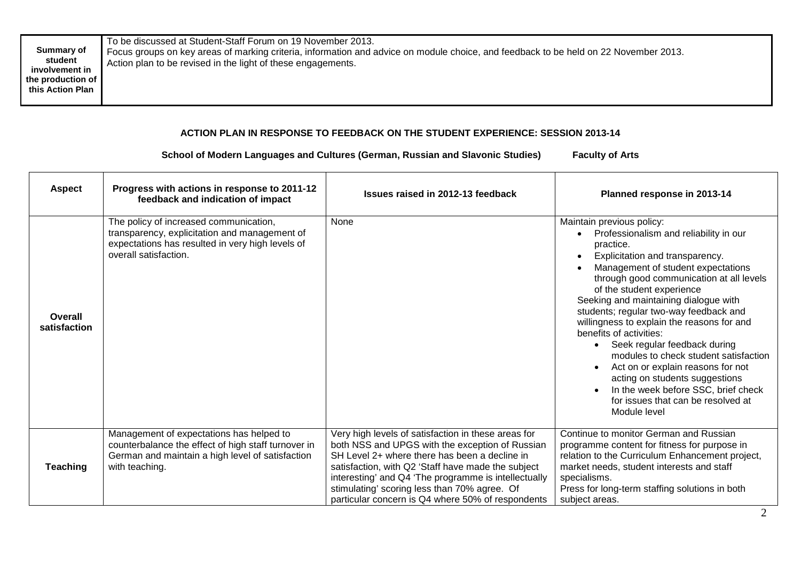| Summary of<br>student<br>involvement in<br>the production of<br>this Action Plan | To be discussed at Student-Staff Forum on 19 November 2013.<br>Focus groups on key areas of marking criteria, information and advice on module choice, and feedback to be held on 22 November 2013.<br>Action plan to be revised in the light of these engagements. |
|----------------------------------------------------------------------------------|---------------------------------------------------------------------------------------------------------------------------------------------------------------------------------------------------------------------------------------------------------------------|
|----------------------------------------------------------------------------------|---------------------------------------------------------------------------------------------------------------------------------------------------------------------------------------------------------------------------------------------------------------------|

## **ACTION PLAN IN RESPONSE TO FEEDBACK ON THE STUDENT EXPERIENCE: SESSION 2013-14**

## **School of Modern Languages and Cultures (German, Russian and Slavonic Studies) Faculty of Arts**

| <b>Aspect</b>           | Progress with actions in response to 2011-12<br>feedback and indication of impact                                                                                     | Issues raised in 2012-13 feedback                                                                                                                                                                                                                                                                                                                                          | Planned response in 2013-14                                                                                                                                                                                                                                                                                                                                                                                                                                                                                                                                                                                                                                           |
|-------------------------|-----------------------------------------------------------------------------------------------------------------------------------------------------------------------|----------------------------------------------------------------------------------------------------------------------------------------------------------------------------------------------------------------------------------------------------------------------------------------------------------------------------------------------------------------------------|-----------------------------------------------------------------------------------------------------------------------------------------------------------------------------------------------------------------------------------------------------------------------------------------------------------------------------------------------------------------------------------------------------------------------------------------------------------------------------------------------------------------------------------------------------------------------------------------------------------------------------------------------------------------------|
| Overall<br>satisfaction | The policy of increased communication,<br>transparency, explicitation and management of<br>expectations has resulted in very high levels of<br>overall satisfaction.  | None                                                                                                                                                                                                                                                                                                                                                                       | Maintain previous policy:<br>Professionalism and reliability in our<br>practice.<br>Explicitation and transparency.<br>Management of student expectations<br>through good communication at all levels<br>of the student experience<br>Seeking and maintaining dialogue with<br>students; regular two-way feedback and<br>willingness to explain the reasons for and<br>benefits of activities:<br>Seek regular feedback during<br>$\bullet$<br>modules to check student satisfaction<br>Act on or explain reasons for not<br>$\bullet$<br>acting on students suggestions<br>In the week before SSC, brief check<br>for issues that can be resolved at<br>Module level |
| <b>Teaching</b>         | Management of expectations has helped to<br>counterbalance the effect of high staff turnover in<br>German and maintain a high level of satisfaction<br>with teaching. | Very high levels of satisfaction in these areas for<br>both NSS and UPGS with the exception of Russian<br>SH Level 2+ where there has been a decline in<br>satisfaction, with Q2 'Staff have made the subject<br>interesting' and Q4 'The programme is intellectually<br>stimulating' scoring less than 70% agree. Of<br>particular concern is Q4 where 50% of respondents | Continue to monitor German and Russian<br>programme content for fitness for purpose in<br>relation to the Curriculum Enhancement project,<br>market needs, student interests and staff<br>specialisms.<br>Press for long-term staffing solutions in both<br>subject areas.                                                                                                                                                                                                                                                                                                                                                                                            |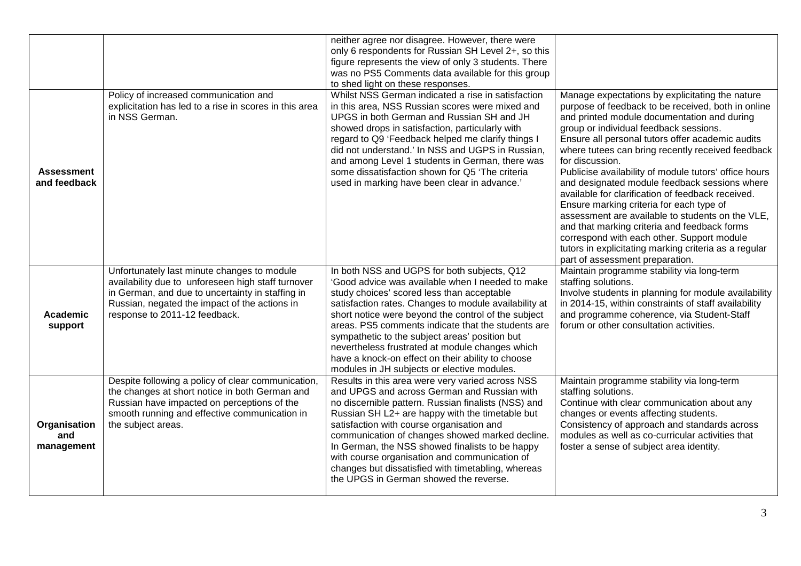|                                   |                                                                                                                                                                                                                                         | neither agree nor disagree. However, there were<br>only 6 respondents for Russian SH Level 2+, so this<br>figure represents the view of only 3 students. There<br>was no PS5 Comments data available for this group<br>to shed light on these responses.                                                                                                                                                                                                                                                                     |                                                                                                                                                                                                                                                                                                                                                                                                                                                                                                                                                                                                                                                                                                                                                                                     |
|-----------------------------------|-----------------------------------------------------------------------------------------------------------------------------------------------------------------------------------------------------------------------------------------|------------------------------------------------------------------------------------------------------------------------------------------------------------------------------------------------------------------------------------------------------------------------------------------------------------------------------------------------------------------------------------------------------------------------------------------------------------------------------------------------------------------------------|-------------------------------------------------------------------------------------------------------------------------------------------------------------------------------------------------------------------------------------------------------------------------------------------------------------------------------------------------------------------------------------------------------------------------------------------------------------------------------------------------------------------------------------------------------------------------------------------------------------------------------------------------------------------------------------------------------------------------------------------------------------------------------------|
| <b>Assessment</b><br>and feedback | Policy of increased communication and<br>explicitation has led to a rise in scores in this area<br>in NSS German.                                                                                                                       | Whilst NSS German indicated a rise in satisfaction<br>in this area, NSS Russian scores were mixed and<br>UPGS in both German and Russian SH and JH<br>showed drops in satisfaction, particularly with<br>regard to Q9 'Feedback helped me clarify things I<br>did not understand.' In NSS and UGPS in Russian,<br>and among Level 1 students in German, there was<br>some dissatisfaction shown for Q5 'The criteria<br>used in marking have been clear in advance.'                                                         | Manage expectations by explicitating the nature<br>purpose of feedback to be received, both in online<br>and printed module documentation and during<br>group or individual feedback sessions.<br>Ensure all personal tutors offer academic audits<br>where tutees can bring recently received feedback<br>for discussion.<br>Publicise availability of module tutors' office hours<br>and designated module feedback sessions where<br>available for clarification of feedback received.<br>Ensure marking criteria for each type of<br>assessment are available to students on the VLE,<br>and that marking criteria and feedback forms<br>correspond with each other. Support module<br>tutors in explicitating marking criteria as a regular<br>part of assessment preparation. |
| Academic<br>support               | Unfortunately last minute changes to module<br>availability due to unforeseen high staff turnover<br>in German, and due to uncertainty in staffing in<br>Russian, negated the impact of the actions in<br>response to 2011-12 feedback. | In both NSS and UGPS for both subjects, Q12<br>'Good advice was available when I needed to make<br>study choices' scored less than acceptable<br>satisfaction rates. Changes to module availability at<br>short notice were beyond the control of the subject<br>areas. PS5 comments indicate that the students are<br>sympathetic to the subject areas' position but<br>nevertheless frustrated at module changes which<br>have a knock-on effect on their ability to choose<br>modules in JH subjects or elective modules. | Maintain programme stability via long-term<br>staffing solutions.<br>Involve students in planning for module availability<br>in 2014-15, within constraints of staff availability<br>and programme coherence, via Student-Staff<br>forum or other consultation activities.                                                                                                                                                                                                                                                                                                                                                                                                                                                                                                          |
| Organisation<br>and<br>management | Despite following a policy of clear communication,<br>the changes at short notice in both German and<br>Russian have impacted on perceptions of the<br>smooth running and effective communication in<br>the subject areas.              | Results in this area were very varied across NSS<br>and UPGS and across German and Russian with<br>no discernible pattern. Russian finalists (NSS) and<br>Russian SH L2+ are happy with the timetable but<br>satisfaction with course organisation and<br>communication of changes showed marked decline.<br>In German, the NSS showed finalists to be happy<br>with course organisation and communication of<br>changes but dissatisfied with timetabling, whereas<br>the UPGS in German showed the reverse.                | Maintain programme stability via long-term<br>staffing solutions.<br>Continue with clear communication about any<br>changes or events affecting students.<br>Consistency of approach and standards across<br>modules as well as co-curricular activities that<br>foster a sense of subject area identity.                                                                                                                                                                                                                                                                                                                                                                                                                                                                           |